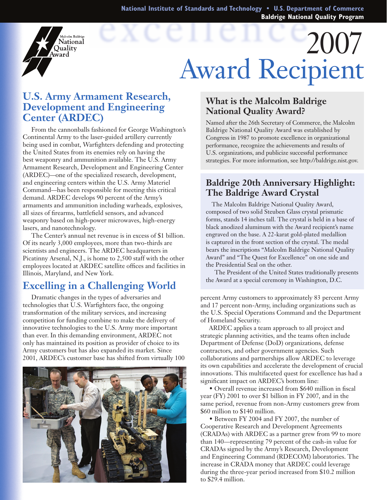**National Institute of Standards and Technology • U.S. Department of Commerce Baldrige National Quality Program**



# $2007$ Award Recipient

### **U.S. Army Armament Research, Development and Engineering Center (ARDEC)**

From the cannonballs fashioned for George Washington's Continental Army to the laser-guided artillery currently being used in combat, Warfighters defending and protecting the United States from its enemies rely on having the best weaponry and ammunition available. The U.S. Army Armament Research, Development and Engineering Center (ARDEC)—one of the specialized research, development, and engineering centers within the U.S. Army Materiel Command—has been responsible for meeting this critical demand. ARDEC develops 90 percent of the Army's armaments and ammunition including warheads, explosives, all sizes of firearms, battlefield sensors, and advanced weaponry based on high-power microwaves, high-energy lasers, and nanotechnology.

The Center's annual net revenue is in excess of \$1 billion. Of its nearly 3,000 employees, more than two-thirds are scientists and engineers. The ARDEC headquarters in Picatinny Arsenal, N.J., is home to 2,500 staff with the other employees located at ARDEC satellite offices and facilities in Illinois, Maryland, and New York.

# **Excelling in a Challenging World**

Dramatic changes in the types of adversaries and technologies that U.S. Warfighters face, the ongoing transformation of the military services, and increasing competition for funding combine to make the delivery of innovative technologies to the U.S. Army more important than ever. In this demanding environment, ARDEC not only has maintained its position as provider of choice to its Army customers but has also expanded its market. Since 2001, ARDEC's customer base has shifted from virtually 100



#### **What is the Malcolm Baldrige National Quality Award?**

Named after the 26th Secretary of Commerce, the Malcolm Baldrige National Quality Award was established by Congress in 1987 to promote excellence in organizational performance, recognize the achievements and results of U.S. organizations, and publicize successful performance strategies. For more information, see http://baldrige.nist.gov.

#### **Baldrige 20th Anniversary Highlight: The Baldrige Award Crystal**

The Malcolm Baldrige National Quality Award, composed of two solid Steuben Glass crystal prismatic forms, stands 14 inches tall. The crystal is held in a base of black anodized aluminum with the Award recipient's name engraved on the base. A 22-karat gold-plated medallion is captured in the front section of the crystal. The medal bears the inscriptions "Malcolm Baldrige National Quality Award" and "The Quest for Excellence" on one side and the Presidential Seal on the other.

The President of the United States traditionally presents the Award at a special ceremony in Washington, D.C.

percent Army customers to approximately 83 percent Army and 17 percent non-Army, including organizations such as the U.S. Special Operations Command and the Department of Homeland Security.

ARDEC applies a team approach to all project and strategic planning activities, and the teams often include Department of Defense (DoD) organizations, defense contractors, and other government agencies. Such collaborations and partnerships allow ARDEC to leverage its own capabilities and accelerate the development of crucial innovations. This multifaceted quest for excellence has had a significant impact on ARDEC's bottom line:

 • Overall revenue increased from \$640 million in fiscal year (FY) 2001 to over \$1 billion in FY 2007, and in the same period, revenue from non-Army customers grew from \$60 million to \$140 million.

 • Between FY 2004 and FY 2007, the number of Cooperative Research and Development Agreements (CRADAs) with ARDEC as a partner grew from 99 to more than 140—representing 79 percent of the cash-in value for CRADAs signed by the Army's Research, Development and Engineering Command (RDECOM) laboratories. The increase in CRADA money that ARDEC could leverage during the three-year period increased from \$10.2 million to \$29.4 million.